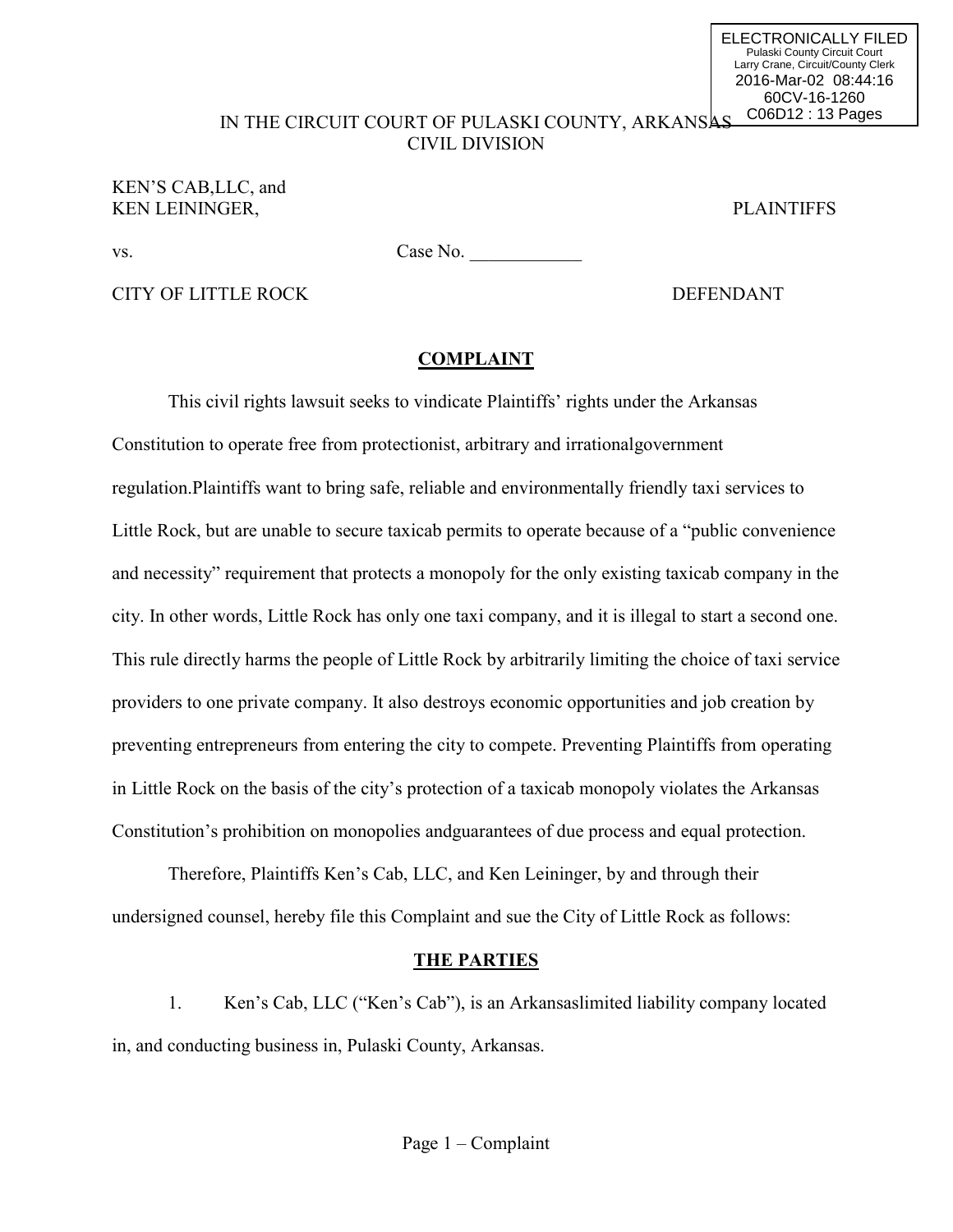#### IN THE CIRCUIT COURT OF PULASKI COUNTY, ARKANSAS CIVIL DIVISION C06D12 : 13 Pages

## KEN'S CAB,LLC, and KEN LEININGER. PLAINTIFFS

ELECTRONICALLY FILED Pulaski County Circuit Court Larry Crane, Circuit/County Clerk 2016-Mar-02 08:44:16 60CV-16-1260

vs. Case No.

CITY OF LITTLE ROCK DEFENDANT

## **COMPLAINT**

This civil rights lawsuit seeks to vindicate Plaintiffs' rights under the Arkansas Constitution to operate free from protectionist, arbitrary and irrationalgovernment regulation.Plaintiffs want to bring safe, reliable and environmentally friendly taxi services to Little Rock, but are unable to secure taxicab permits to operate because of a "public convenience and necessity" requirement that protects a monopoly for the only existing taxicab company in the city. In other words, Little Rock has only one taxi company, and it is illegal to start a second one. This rule directly harms the people of Little Rock by arbitrarily limiting the choice of taxi service providers to one private company. It also destroys economic opportunities and job creation by preventing entrepreneurs from entering the city to compete. Preventing Plaintiffs from operating in Little Rock on the basis of the city's protection of a taxicab monopoly violates the Arkansas Constitution's prohibition on monopolies andguarantees of due process and equal protection.

Therefore, Plaintiffs Ken's Cab, LLC, and Ken Leininger, by and through their undersigned counsel, hereby file this Complaint and sue the City of Little Rock as follows:

## **THE PARTIES**

1. Ken's Cab, LLC ("Ken's Cab"), is an Arkansaslimited liability company located in, and conducting business in, Pulaski County, Arkansas.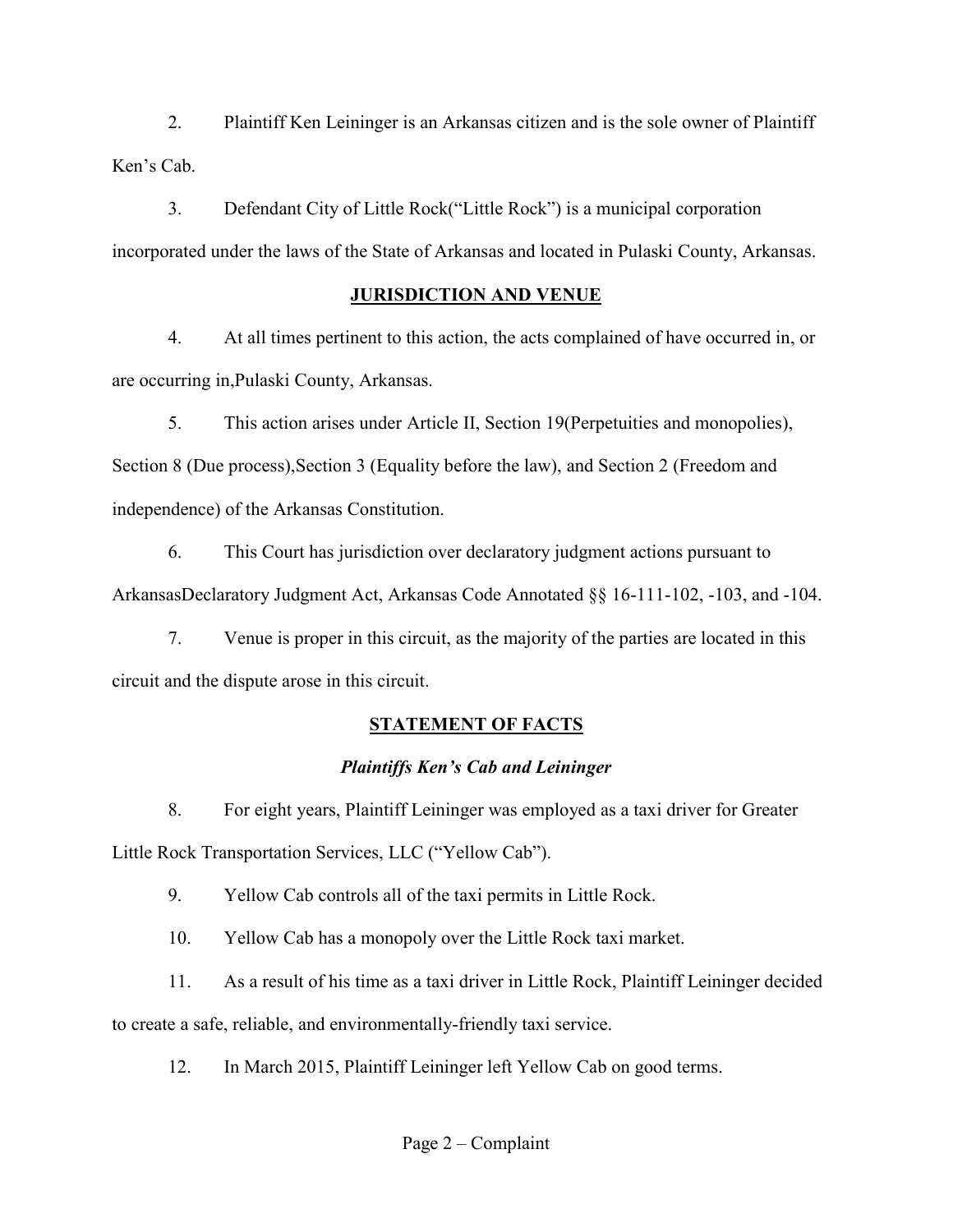2. Plaintiff Ken Leininger is an Arkansas citizen and is the sole owner of Plaintiff Ken's Cab.

3. Defendant City of Little Rock("Little Rock") is a municipal corporation incorporated under the laws of the State of Arkansas and located in Pulaski County, Arkansas.

## **JURISDICTION AND VENUE**

4. At all times pertinent to this action, the acts complained of have occurred in, or are occurring in,Pulaski County, Arkansas.

5. This action arises under Article II, Section 19(Perpetuities and monopolies), Section 8 (Due process),Section 3 (Equality before the law), and Section 2 (Freedom and independence) of the Arkansas Constitution.

6. This Court has jurisdiction over declaratory judgment actions pursuant to ArkansasDeclaratory Judgment Act, Arkansas Code Annotated §§ 16-111-102, -103, and -104.

7. Venue is proper in this circuit, as the majority of the parties are located in this circuit and the dispute arose in this circuit.

# **STATEMENT OF FACTS**

# *Plaintiffs Ken's Cab and Leininger*

8. For eight years, Plaintiff Leininger was employed as a taxi driver for Greater Little Rock Transportation Services, LLC ("Yellow Cab").

9. Yellow Cab controls all of the taxi permits in Little Rock.

10. Yellow Cab has a monopoly over the Little Rock taxi market.

11. As a result of his time as a taxi driver in Little Rock, Plaintiff Leininger decided

to create a safe, reliable, and environmentally-friendly taxi service.

12. In March 2015, Plaintiff Leininger left Yellow Cab on good terms.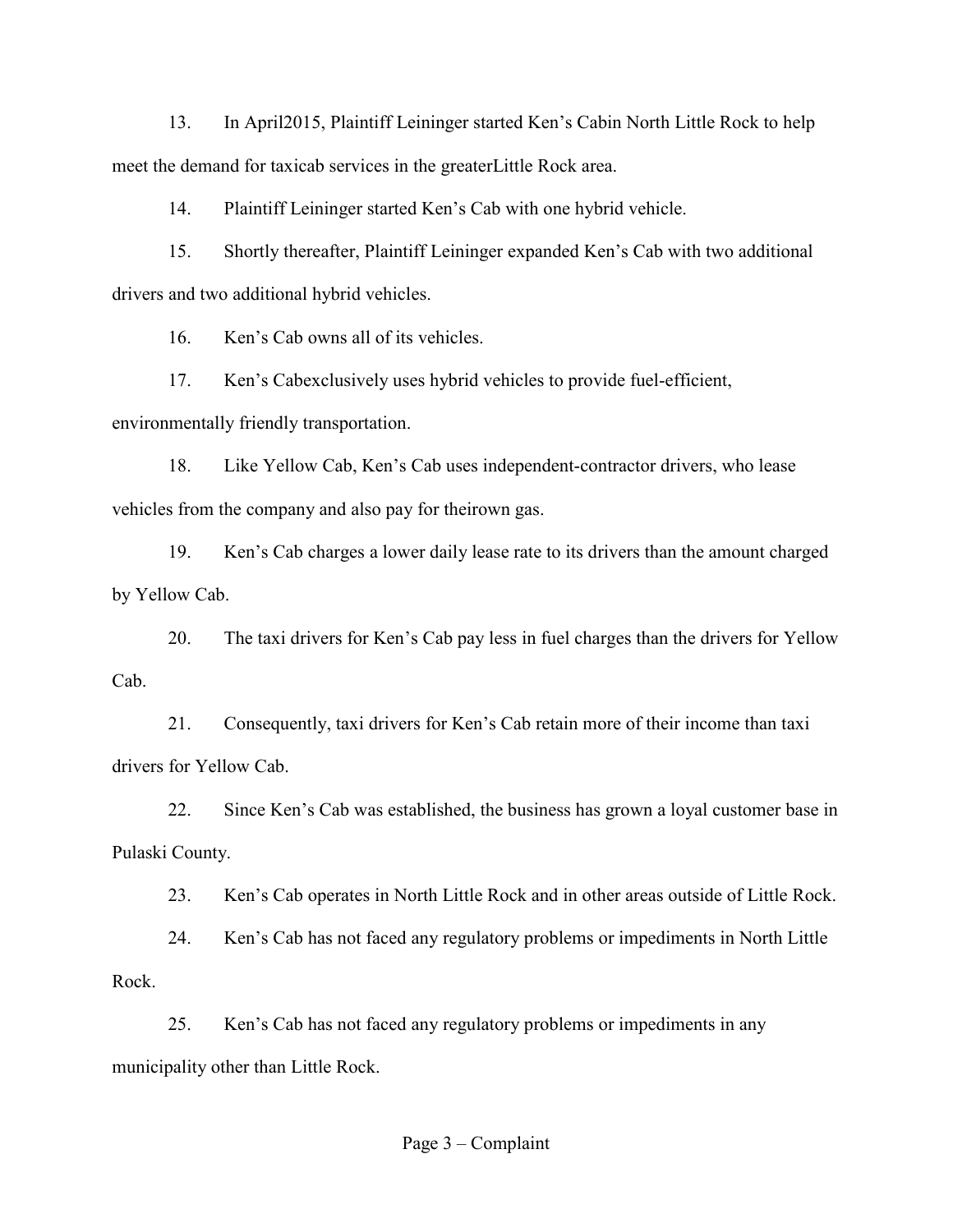13. In April2015, Plaintiff Leininger started Ken's Cabin North Little Rock to help meet the demand for taxicab services in the greaterLittle Rock area.

14. Plaintiff Leininger started Ken's Cab with one hybrid vehicle.

15. Shortly thereafter, Plaintiff Leininger expanded Ken's Cab with two additional drivers and two additional hybrid vehicles.

16. Ken's Cab owns all of its vehicles.

17. Ken's Cabexclusively uses hybrid vehicles to provide fuel-efficient,

environmentally friendly transportation.

18. Like Yellow Cab, Ken's Cab uses independent-contractor drivers, who lease vehicles from the company and also pay for theirown gas.

19. Ken's Cab charges a lower daily lease rate to its drivers than the amount charged by Yellow Cab.

20. The taxi drivers for Ken's Cab pay less in fuel charges than the drivers for Yellow Cab.

21. Consequently, taxi drivers for Ken's Cab retain more of their income than taxi drivers for Yellow Cab.

22. Since Ken's Cab was established, the business has grown a loyal customer base in Pulaski County.

23. Ken's Cab operates in North Little Rock and in other areas outside of Little Rock.

24. Ken's Cab has not faced any regulatory problems or impediments in North Little Rock.

25. Ken's Cab has not faced any regulatory problems or impediments in any municipality other than Little Rock.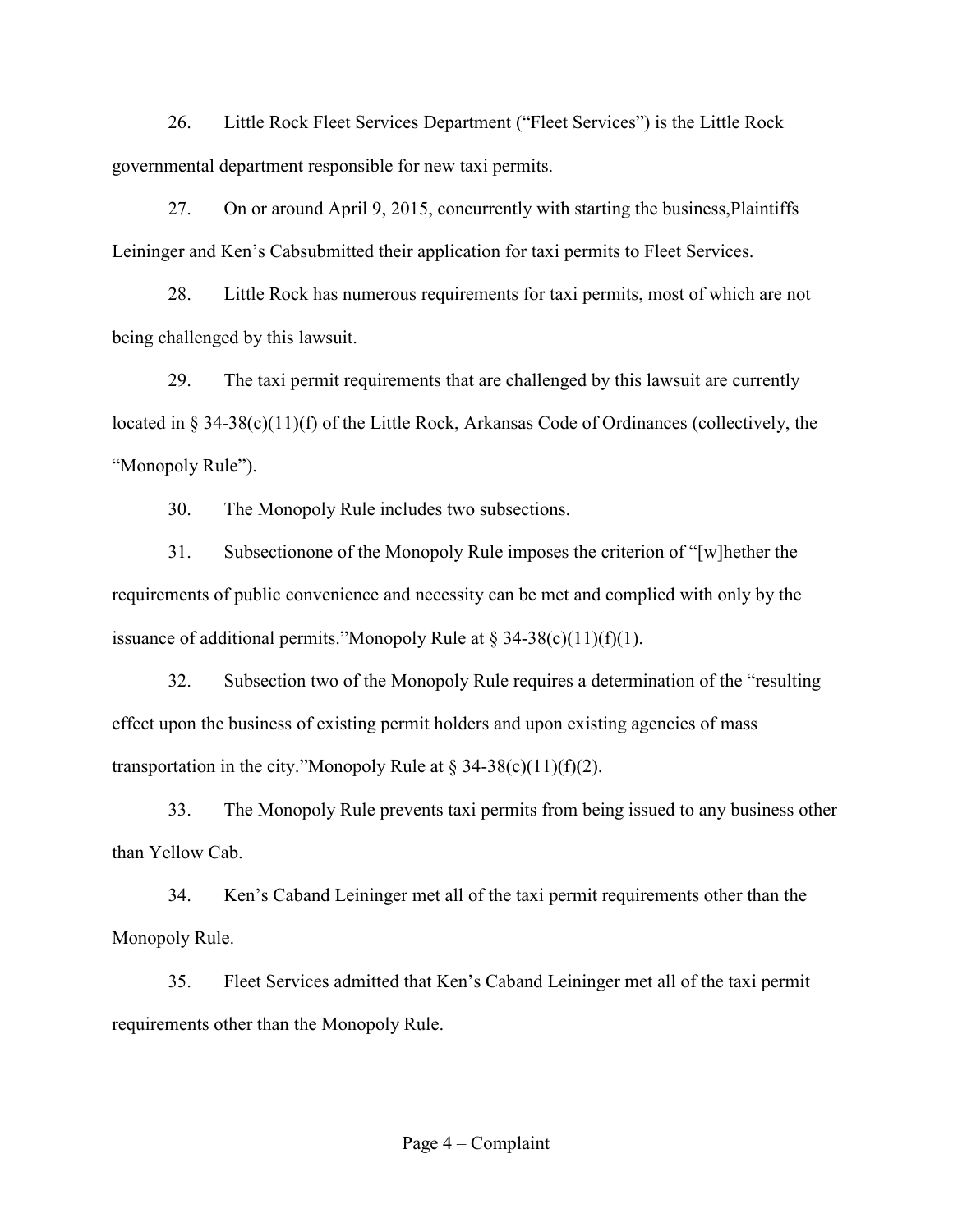26. Little Rock Fleet Services Department ("Fleet Services") is the Little Rock governmental department responsible for new taxi permits.

27. On or around April 9, 2015, concurrently with starting the business,Plaintiffs Leininger and Ken's Cabsubmitted their application for taxi permits to Fleet Services.

28. Little Rock has numerous requirements for taxi permits, most of which are not being challenged by this lawsuit.

29. The taxi permit requirements that are challenged by this lawsuit are currently located in § 34-38(c)(11)(f) of the Little Rock, Arkansas Code of Ordinances (collectively, the "Monopoly Rule").

30. The Monopoly Rule includes two subsections.

31. Subsectionone of the Monopoly Rule imposes the criterion of "[w]hether the requirements of public convenience and necessity can be met and complied with only by the issuance of additional permits."Monopoly Rule at  $\S 34-38(c)(11)(f)(1)$ .

32. Subsection two of the Monopoly Rule requires a determination of the "resulting effect upon the business of existing permit holders and upon existing agencies of mass transportation in the city."Monopoly Rule at  $\S$  34-38(c)(11)(f)(2).

33. The Monopoly Rule prevents taxi permits from being issued to any business other than Yellow Cab.

34. Ken's Caband Leininger met all of the taxi permit requirements other than the Monopoly Rule.

35. Fleet Services admitted that Ken's Caband Leininger met all of the taxi permit requirements other than the Monopoly Rule.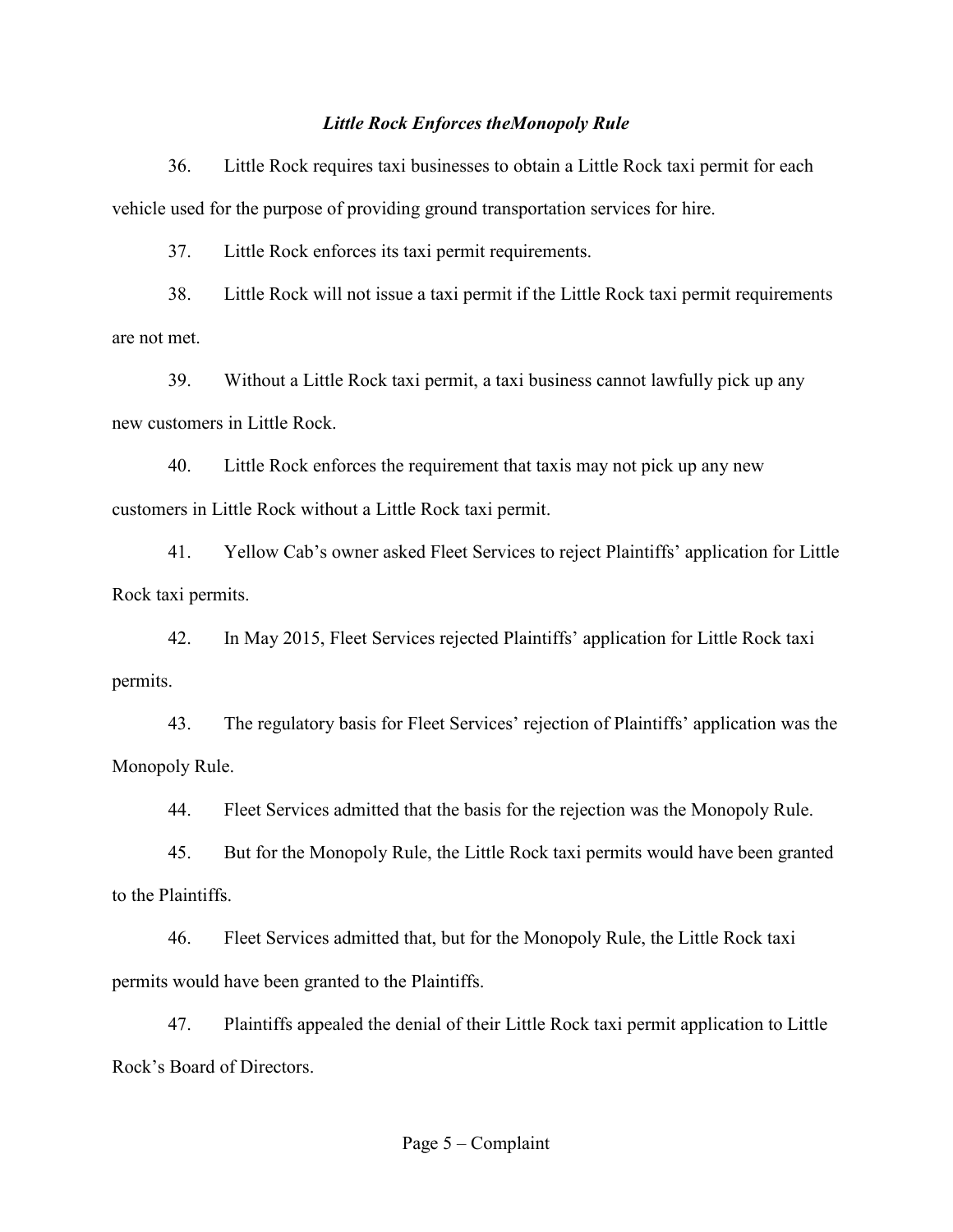#### *Little Rock Enforces theMonopoly Rule*

36. Little Rock requires taxi businesses to obtain a Little Rock taxi permit for each vehicle used for the purpose of providing ground transportation services for hire.

37. Little Rock enforces its taxi permit requirements.

38. Little Rock will not issue a taxi permit if the Little Rock taxi permit requirements are not met.

39. Without a Little Rock taxi permit, a taxi business cannot lawfully pick up any new customers in Little Rock.

40. Little Rock enforces the requirement that taxis may not pick up any new customers in Little Rock without a Little Rock taxi permit.

41. Yellow Cab's owner asked Fleet Services to reject Plaintiffs' application for Little Rock taxi permits.

42. In May 2015, Fleet Services rejected Plaintiffs' application for Little Rock taxi permits.

43. The regulatory basis for Fleet Services' rejection of Plaintiffs' application was the Monopoly Rule.

44. Fleet Services admitted that the basis for the rejection was the Monopoly Rule.

45. But for the Monopoly Rule, the Little Rock taxi permits would have been granted to the Plaintiffs.

46. Fleet Services admitted that, but for the Monopoly Rule, the Little Rock taxi permits would have been granted to the Plaintiffs.

47. Plaintiffs appealed the denial of their Little Rock taxi permit application to Little Rock's Board of Directors.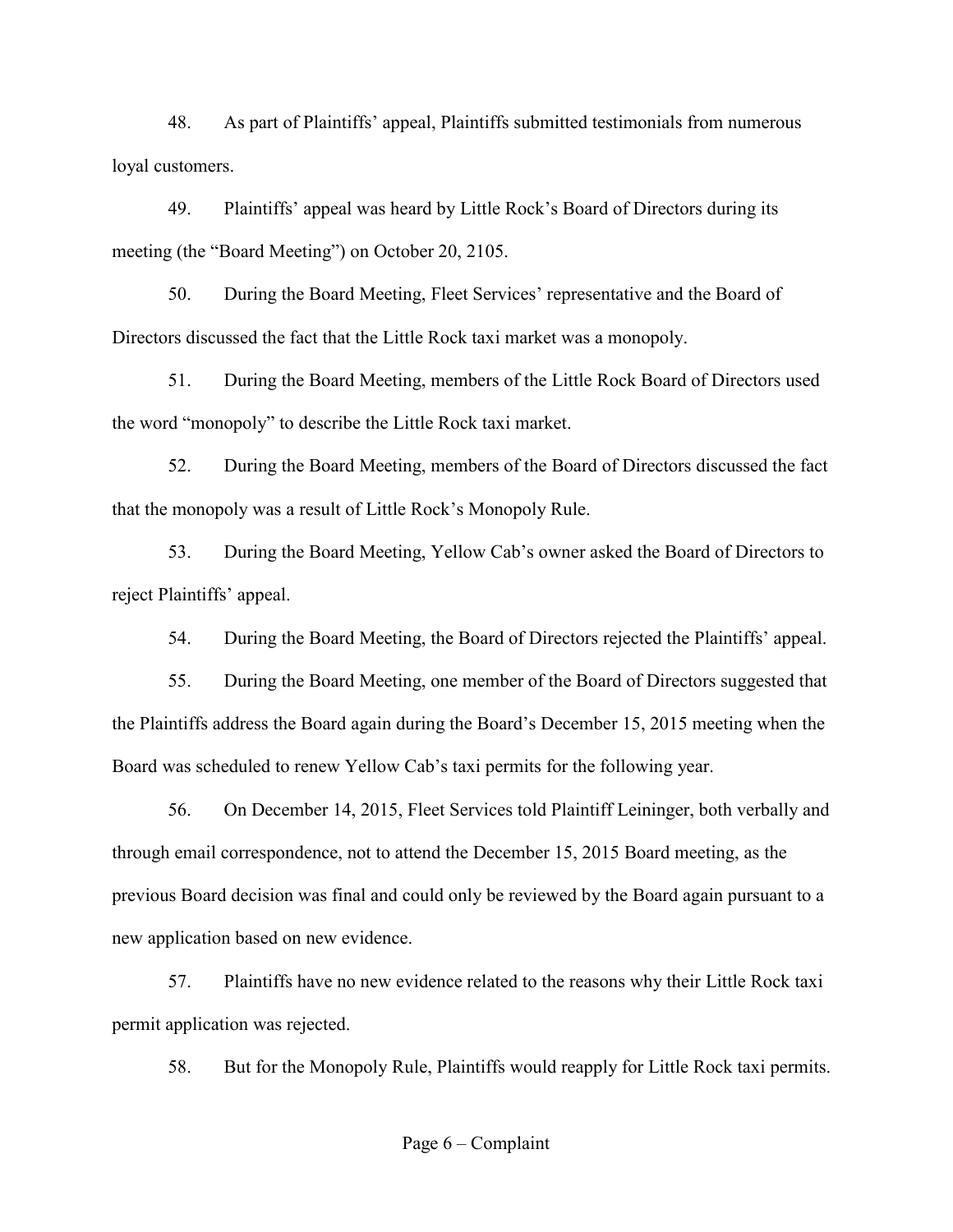48. As part of Plaintiffs' appeal, Plaintiffs submitted testimonials from numerous loyal customers.

49. Plaintiffs' appeal was heard by Little Rock's Board of Directors during its meeting (the "Board Meeting") on October 20, 2105.

50. During the Board Meeting, Fleet Services' representative and the Board of Directors discussed the fact that the Little Rock taxi market was a monopoly.

51. During the Board Meeting, members of the Little Rock Board of Directors used the word "monopoly" to describe the Little Rock taxi market.

52. During the Board Meeting, members of the Board of Directors discussed the fact that the monopoly was a result of Little Rock's Monopoly Rule.

53. During the Board Meeting, Yellow Cab's owner asked the Board of Directors to reject Plaintiffs' appeal.

54. During the Board Meeting, the Board of Directors rejected the Plaintiffs' appeal.

55. During the Board Meeting, one member of the Board of Directors suggested that the Plaintiffs address the Board again during the Board's December 15, 2015 meeting when the Board was scheduled to renew Yellow Cab's taxi permits for the following year.

56. On December 14, 2015, Fleet Services told Plaintiff Leininger, both verbally and through email correspondence, not to attend the December 15, 2015 Board meeting, as the previous Board decision was final and could only be reviewed by the Board again pursuant to a new application based on new evidence.

57. Plaintiffs have no new evidence related to the reasons why their Little Rock taxi permit application was rejected.

58. But for the Monopoly Rule, Plaintiffs would reapply for Little Rock taxi permits.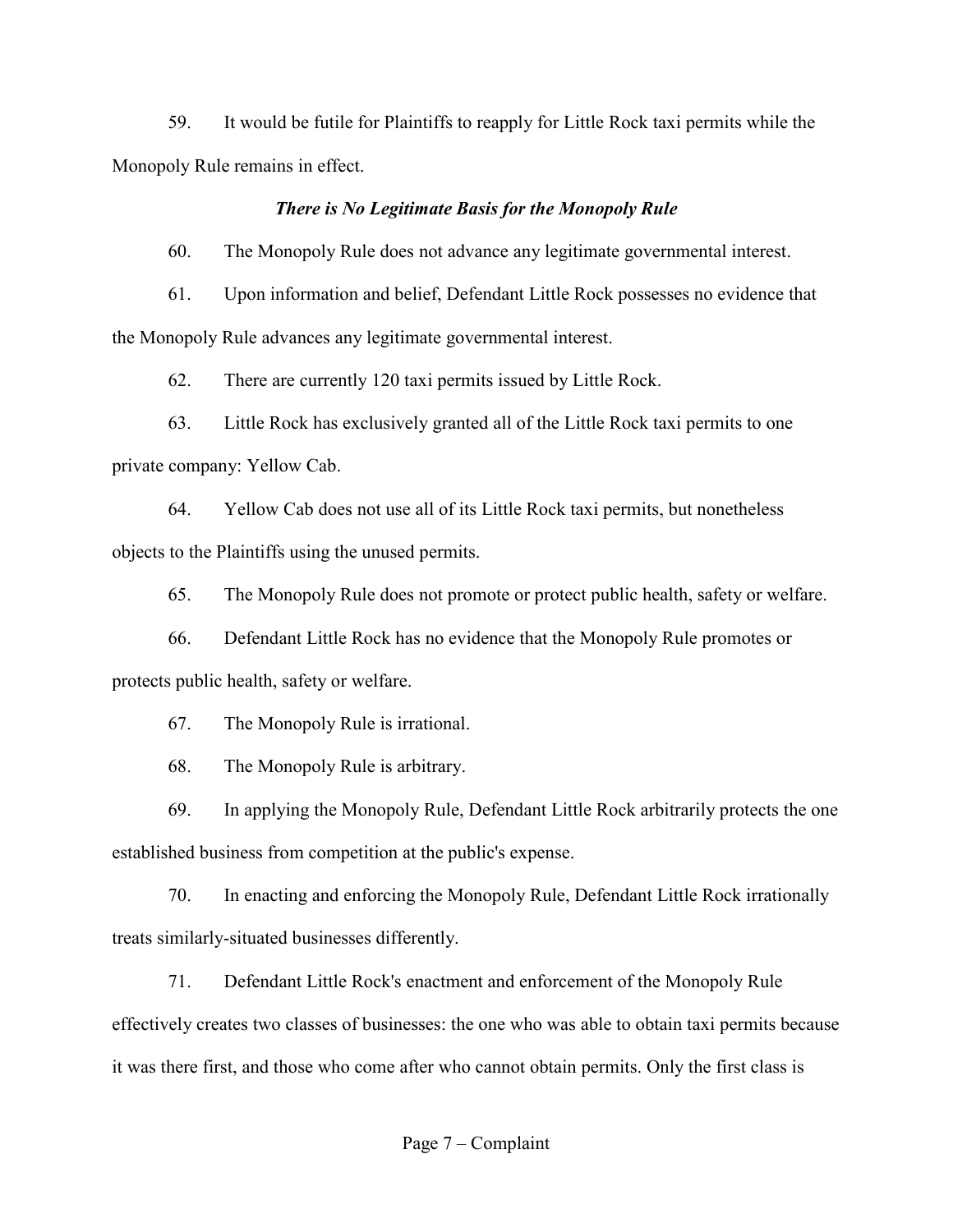59. It would be futile for Plaintiffs to reapply for Little Rock taxi permits while the Monopoly Rule remains in effect.

#### *There is No Legitimate Basis for the Monopoly Rule*

60. The Monopoly Rule does not advance any legitimate governmental interest.

61. Upon information and belief, Defendant Little Rock possesses no evidence that the Monopoly Rule advances any legitimate governmental interest.

62. There are currently 120 taxi permits issued by Little Rock.

63. Little Rock has exclusively granted all of the Little Rock taxi permits to one private company: Yellow Cab.

64. Yellow Cab does not use all of its Little Rock taxi permits, but nonetheless objects to the Plaintiffs using the unused permits.

65. The Monopoly Rule does not promote or protect public health, safety or welfare.

66. Defendant Little Rock has no evidence that the Monopoly Rule promotes or protects public health, safety or welfare.

67. The Monopoly Rule is irrational.

68. The Monopoly Rule is arbitrary.

69. In applying the Monopoly Rule, Defendant Little Rock arbitrarily protects the one established business from competition at the public's expense.

70. In enacting and enforcing the Monopoly Rule, Defendant Little Rock irrationally treats similarly-situated businesses differently.

71. Defendant Little Rock's enactment and enforcement of the Monopoly Rule effectively creates two classes of businesses: the one who was able to obtain taxi permits because it was there first, and those who come after who cannot obtain permits. Only the first class is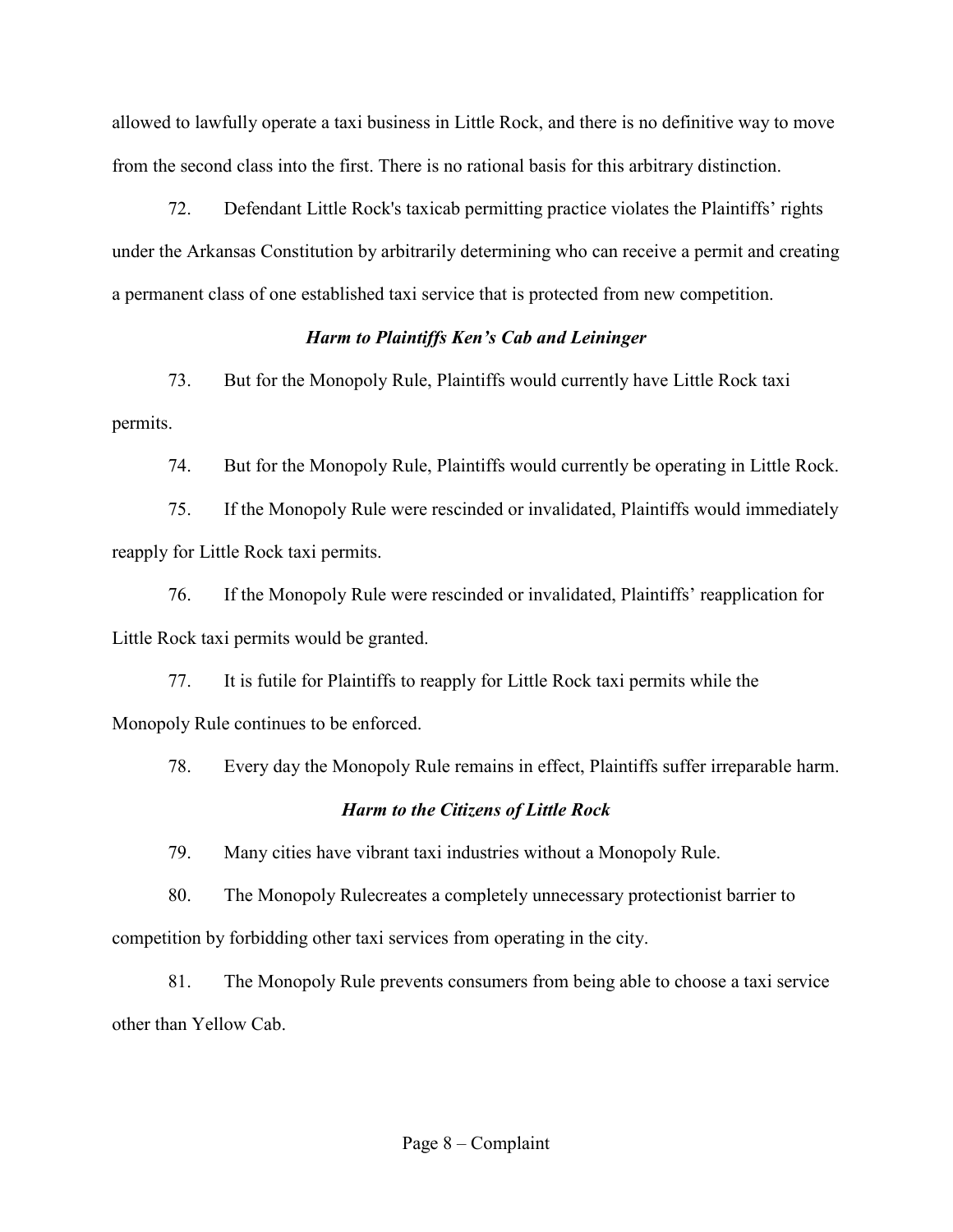allowed to lawfully operate a taxi business in Little Rock, and there is no definitive way to move from the second class into the first. There is no rational basis for this arbitrary distinction.

72. Defendant Little Rock's taxicab permitting practice violates the Plaintiffs' rights under the Arkansas Constitution by arbitrarily determining who can receive a permit and creating a permanent class of one established taxi service that is protected from new competition.

### *Harm to Plaintiffs Ken's Cab and Leininger*

73. But for the Monopoly Rule, Plaintiffs would currently have Little Rock taxi permits.

74. But for the Monopoly Rule, Plaintiffs would currently be operating in Little Rock.

75. If the Monopoly Rule were rescinded or invalidated, Plaintiffs would immediately reapply for Little Rock taxi permits.

76. If the Monopoly Rule were rescinded or invalidated, Plaintiffs' reapplication for Little Rock taxi permits would be granted.

77. It is futile for Plaintiffs to reapply for Little Rock taxi permits while the Monopoly Rule continues to be enforced.

78. Every day the Monopoly Rule remains in effect, Plaintiffs suffer irreparable harm.

## *Harm to the Citizens of Little Rock*

79. Many cities have vibrant taxi industries without a Monopoly Rule.

80. The Monopoly Rulecreates a completely unnecessary protectionist barrier to competition by forbidding other taxi services from operating in the city.

81. The Monopoly Rule prevents consumers from being able to choose a taxi service other than Yellow Cab.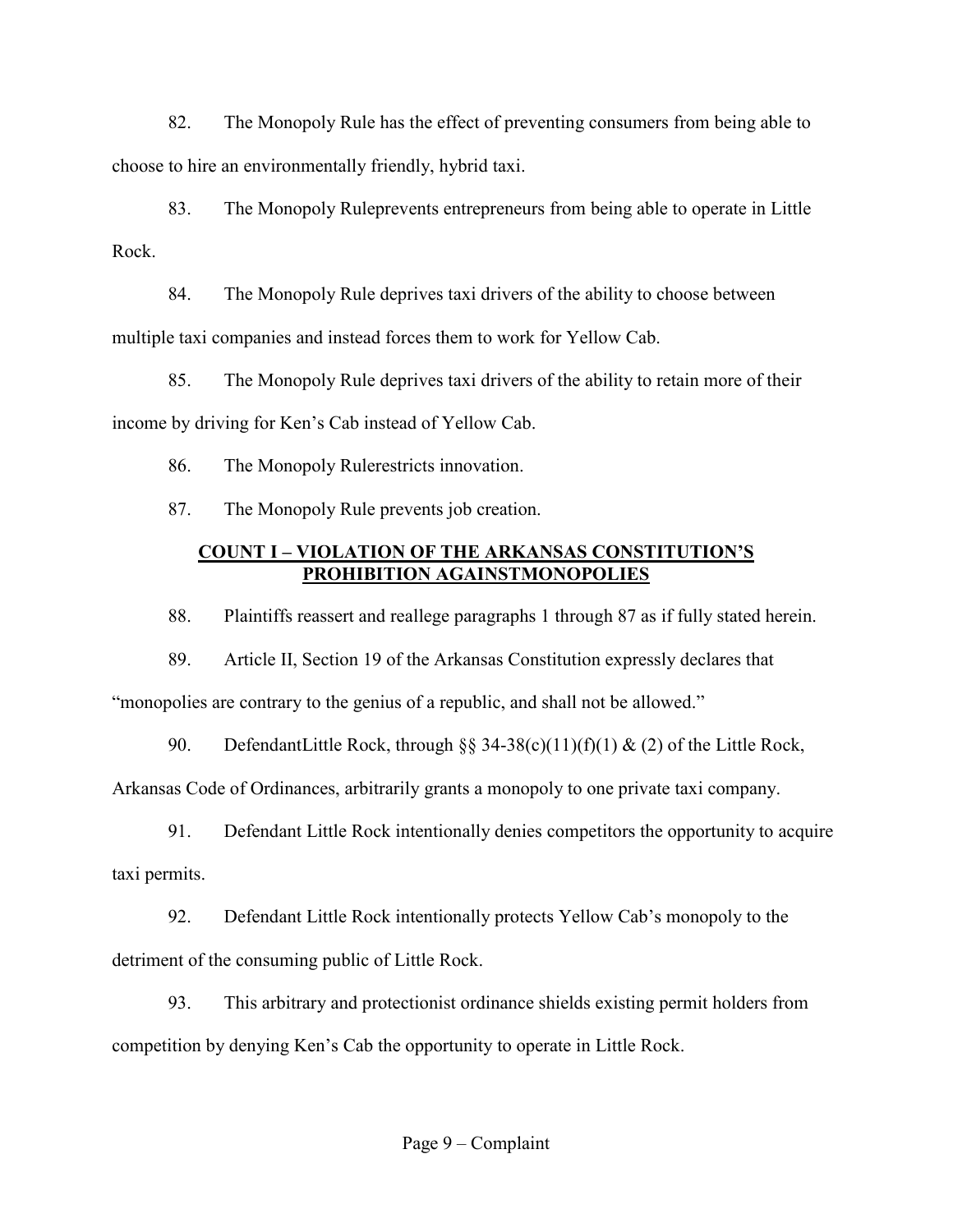82. The Monopoly Rule has the effect of preventing consumers from being able to choose to hire an environmentally friendly, hybrid taxi.

83. The Monopoly Ruleprevents entrepreneurs from being able to operate in Little Rock.

84. The Monopoly Rule deprives taxi drivers of the ability to choose between multiple taxi companies and instead forces them to work for Yellow Cab.

85. The Monopoly Rule deprives taxi drivers of the ability to retain more of their income by driving for Ken's Cab instead of Yellow Cab.

86. The Monopoly Rulerestricts innovation.

87. The Monopoly Rule prevents job creation.

## **COUNT I – VIOLATION OF THE ARKANSAS CONSTITUTION'S PROHIBITION AGAINSTMONOPOLIES**

88. Plaintiffs reassert and reallege paragraphs 1 through 87 as if fully stated herein.

89. Article II, Section 19 of the Arkansas Constitution expressly declares that

"monopolies are contrary to the genius of a republic, and shall not be allowed."

90. DefendantLittle Rock, through  $\S$ § 34-38(c)(11)(f)(1) & (2) of the Little Rock,

Arkansas Code of Ordinances, arbitrarily grants a monopoly to one private taxi company.

91. Defendant Little Rock intentionally denies competitors the opportunity to acquire taxi permits.

92. Defendant Little Rock intentionally protects Yellow Cab's monopoly to the detriment of the consuming public of Little Rock.

93. This arbitrary and protectionist ordinance shields existing permit holders from competition by denying Ken's Cab the opportunity to operate in Little Rock.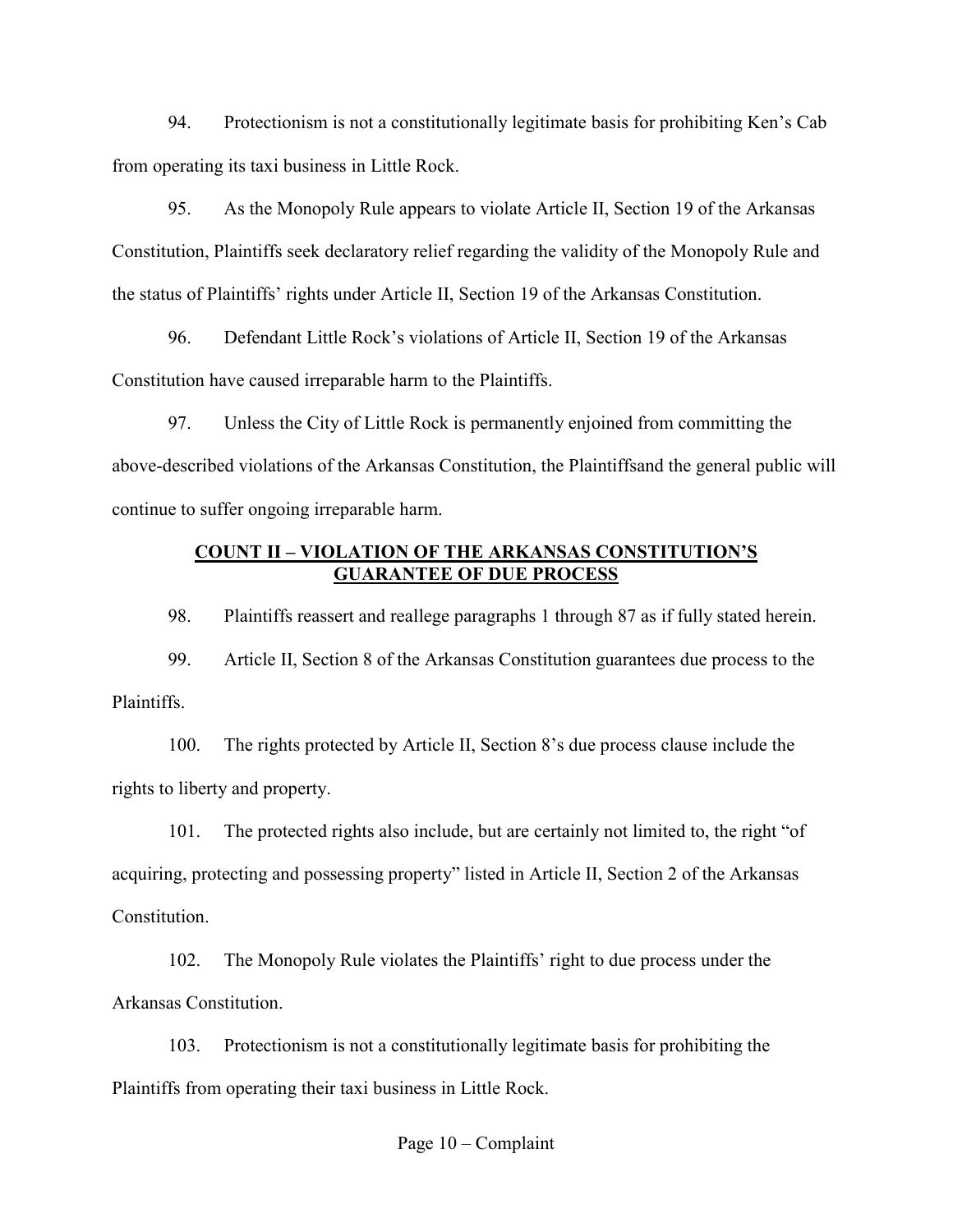94. Protectionism is not a constitutionally legitimate basis for prohibiting Ken's Cab from operating its taxi business in Little Rock.

95. As the Monopoly Rule appears to violate Article II, Section 19 of the Arkansas Constitution, Plaintiffs seek declaratory relief regarding the validity of the Monopoly Rule and the status of Plaintiffs' rights under Article II, Section 19 of the Arkansas Constitution.

96. Defendant Little Rock's violations of Article II, Section 19 of the Arkansas Constitution have caused irreparable harm to the Plaintiffs.

97. Unless the City of Little Rock is permanently enjoined from committing the above-described violations of the Arkansas Constitution, the Plaintiffsand the general public will continue to suffer ongoing irreparable harm.

### **COUNT II – VIOLATION OF THE ARKANSAS CONSTITUTION'S GUARANTEE OF DUE PROCESS**

98. Plaintiffs reassert and reallege paragraphs 1 through 87 as if fully stated herein.

99. Article II, Section 8 of the Arkansas Constitution guarantees due process to the Plaintiffs.

100. The rights protected by Article II, Section 8's due process clause include the rights to liberty and property.

101. The protected rights also include, but are certainly not limited to, the right "of acquiring, protecting and possessing property" listed in Article II, Section 2 of the Arkansas Constitution.

102. The Monopoly Rule violates the Plaintiffs' right to due process under the Arkansas Constitution.

103. Protectionism is not a constitutionally legitimate basis for prohibiting the Plaintiffs from operating their taxi business in Little Rock.

Page 10 – Complaint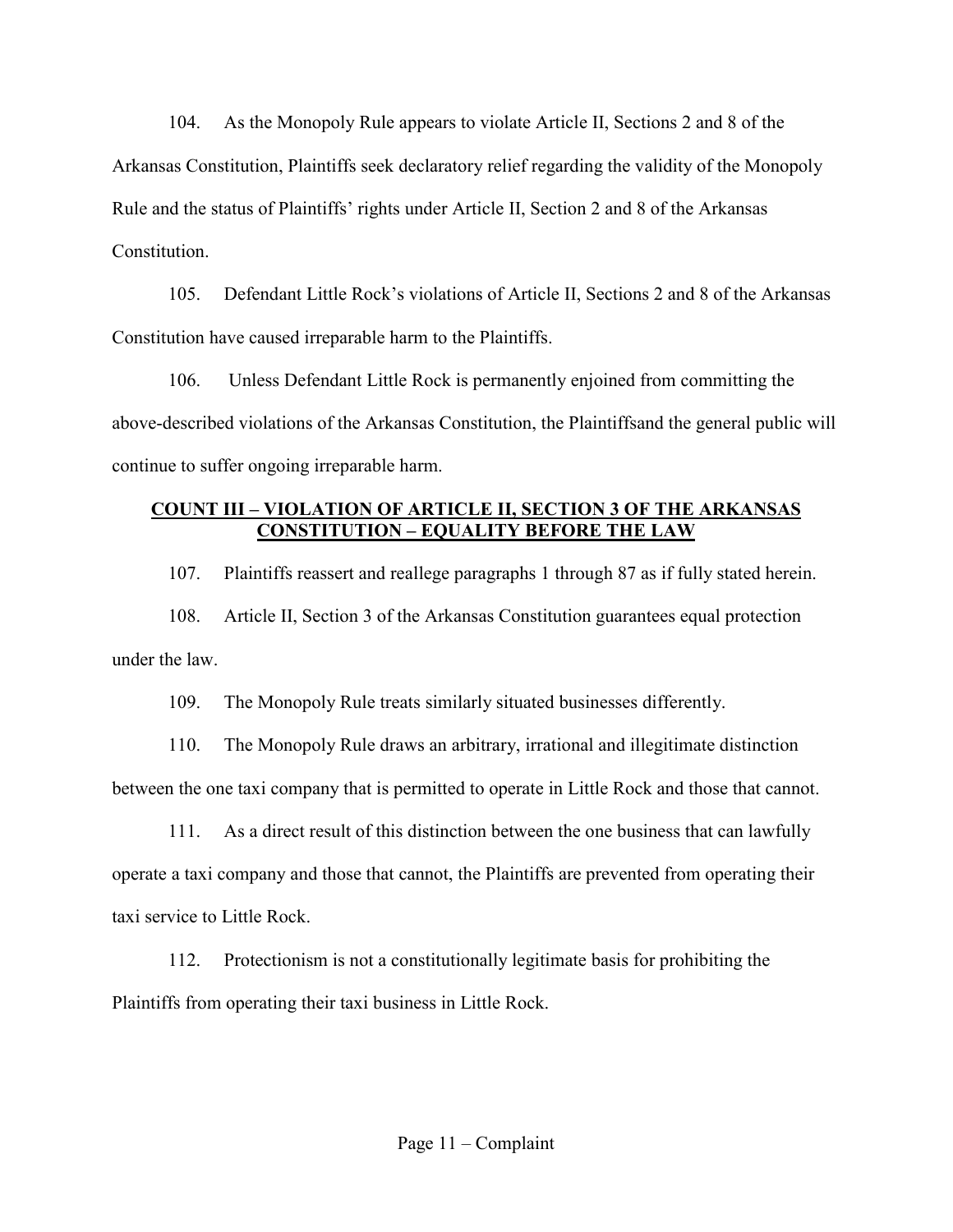104. As the Monopoly Rule appears to violate Article II, Sections 2 and 8 of the Arkansas Constitution, Plaintiffs seek declaratory relief regarding the validity of the Monopoly Rule and the status of Plaintiffs' rights under Article II, Section 2 and 8 of the Arkansas **Constitution** 

105. Defendant Little Rock's violations of Article II, Sections 2 and 8 of the Arkansas Constitution have caused irreparable harm to the Plaintiffs.

106. Unless Defendant Little Rock is permanently enjoined from committing the above-described violations of the Arkansas Constitution, the Plaintiffsand the general public will continue to suffer ongoing irreparable harm.

## **COUNT III – VIOLATION OF ARTICLE II, SECTION 3 OF THE ARKANSAS CONSTITUTION – EQUALITY BEFORE THE LAW**

107. Plaintiffs reassert and reallege paragraphs 1 through 87 as if fully stated herein.

108. Article II, Section 3 of the Arkansas Constitution guarantees equal protection under the law.

109. The Monopoly Rule treats similarly situated businesses differently.

110. The Monopoly Rule draws an arbitrary, irrational and illegitimate distinction between the one taxi company that is permitted to operate in Little Rock and those that cannot.

111. As a direct result of this distinction between the one business that can lawfully operate a taxi company and those that cannot, the Plaintiffs are prevented from operating their taxi service to Little Rock.

112. Protectionism is not a constitutionally legitimate basis for prohibiting the Plaintiffs from operating their taxi business in Little Rock.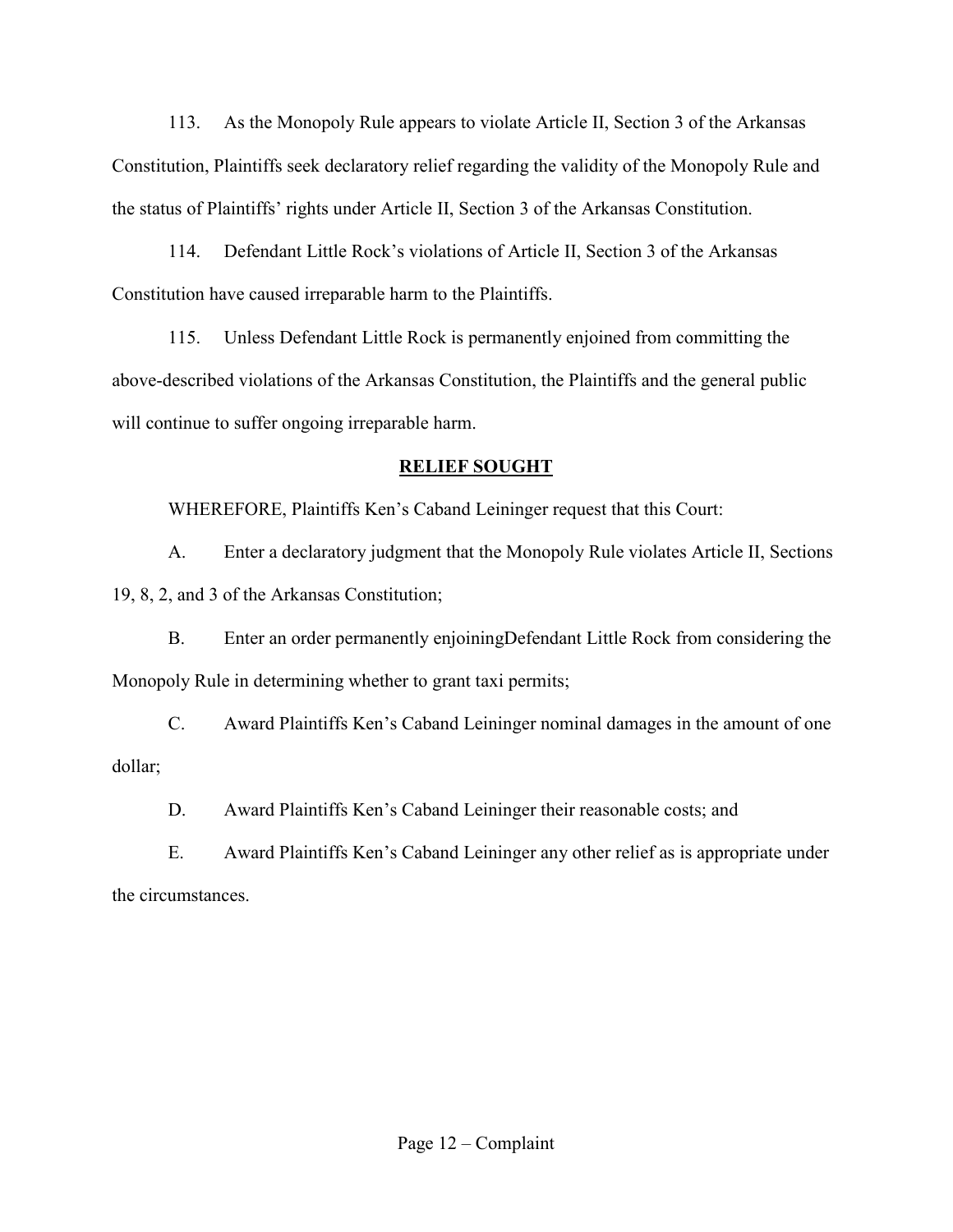113. As the Monopoly Rule appears to violate Article II, Section 3 of the Arkansas Constitution, Plaintiffs seek declaratory relief regarding the validity of the Monopoly Rule and the status of Plaintiffs' rights under Article II, Section 3 of the Arkansas Constitution.

114. Defendant Little Rock's violations of Article II, Section 3 of the Arkansas Constitution have caused irreparable harm to the Plaintiffs.

115. Unless Defendant Little Rock is permanently enjoined from committing the above-described violations of the Arkansas Constitution, the Plaintiffs and the general public will continue to suffer ongoing irreparable harm.

## **RELIEF SOUGHT**

WHEREFORE, Plaintiffs Ken's Caband Leininger request that this Court:

 A. Enter a declaratory judgment that the Monopoly Rule violates Article II, Sections 19, 8, 2, and 3 of the Arkansas Constitution;

 B. Enter an order permanently enjoiningDefendant Little Rock from considering the Monopoly Rule in determining whether to grant taxi permits;

 C. Award Plaintiffs Ken's Caband Leininger nominal damages in the amount of one dollar;

D. Award Plaintiffs Ken's Caband Leininger their reasonable costs; and

 E. Award Plaintiffs Ken's Caband Leininger any other relief as is appropriate under the circumstances.